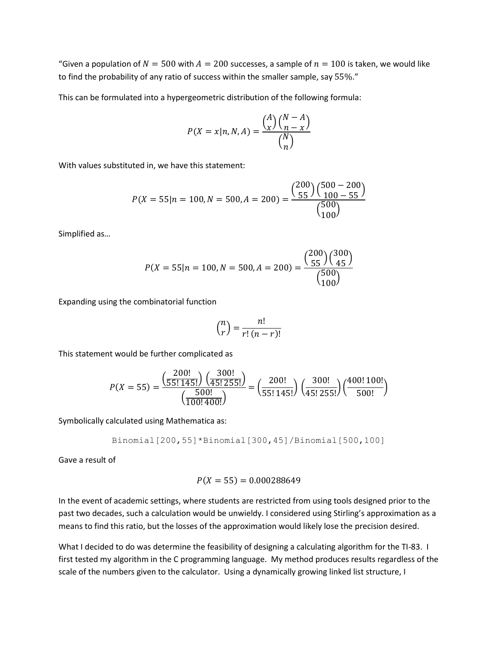"Given a population of  $N = 500$  with  $A = 200$  successes, a sample of  $n = 100$  is taken, we would like to find the probability of any ratio of success within the smaller sample, say 55%."

This can be formulated into a hypergeometric distribution of the following formula:

$$
P(X = x | n, N, A) = \frac{\binom{A}{x} \binom{N - A}{n - x}}{\binom{N}{n}}
$$

With values substituted in, we have this statement:

$$
P(X = 55 | n = 100, N = 500, A = 200) = \frac{\binom{200}{55} \binom{500 - 200}{100 - 55}}{\binom{500}{100}}
$$

Simplified as…

$$
P(X = 55 | n = 100, N = 500, A = 200) = \frac{\binom{200}{55} \binom{300}{45}}{\binom{500}{100}}
$$

Expanding using the combinatorial function

$$
\binom{n}{r} = \frac{n!}{r!(n-r)!}
$$

This statement would be further complicated as

$$
P(X = 55) = \frac{\left(\frac{200!}{55! \cdot 145!}\right) \left(\frac{300!}{45! \cdot 255!}\right)}{\left(\frac{500!}{100! \cdot 400!}\right)} = \left(\frac{200!}{55! \cdot 145!}\right) \left(\frac{300!}{45! \cdot 255!}\right) \left(\frac{400! \cdot 100!}{500!}\right)
$$

Symbolically calculated using Mathematica as:

Binomial[200,55]\*Binomial[300,45]/Binomial[500,100]

Gave a result of

$$
P(X = 55) = 0.000288649
$$

In the event of academic settings, where students are restricted from using tools designed prior to the past two decades, such a calculation would be unwieldy. I considered using Stirling's approximation as a means to find this ratio, but the losses of the approximation would likely lose the precision desired.

What I decided to do was determine the feasibility of designing a calculating algorithm for the TI-83. I first tested my algorithm in the C programming language. My method produces results regardless of the scale of the numbers given to the calculator. Using a dynamically growing linked list structure, I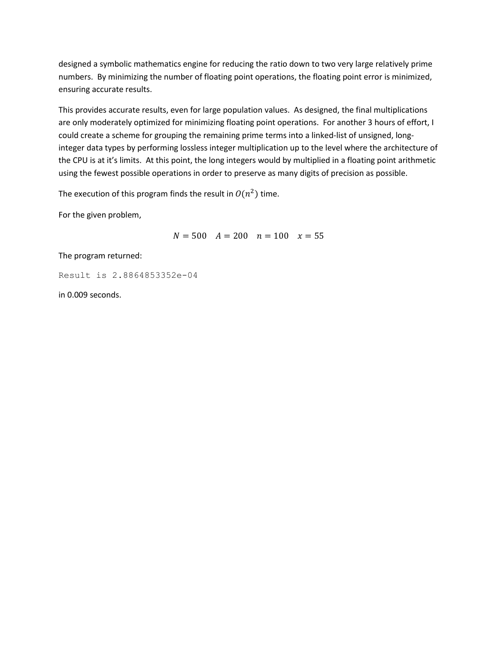designed a symbolic mathematics engine for reducing the ratio down to two very large relatively prime numbers. By minimizing the number of floating point operations, the floating point error is minimized, ensuring accurate results.

This provides accurate results, even for large population values. As designed, the final multiplications are only moderately optimized for minimizing floating point operations. For another 3 hours of effort, I could create a scheme for grouping the remaining prime terms into a linked-list of unsigned, longinteger data types by performing lossless integer multiplication up to the level where the architecture of the CPU is at it's limits. At this point, the long integers would by multiplied in a floating point arithmetic using the fewest possible operations in order to preserve as many digits of precision as possible.

The execution of this program finds the result in  $O(n^2)$  time.

For the given problem,

 $N = 500$   $A = 200$   $n = 100$   $x = 55$ 

The program returned:

Result is 2.8864853352e-04

in 0.009 seconds.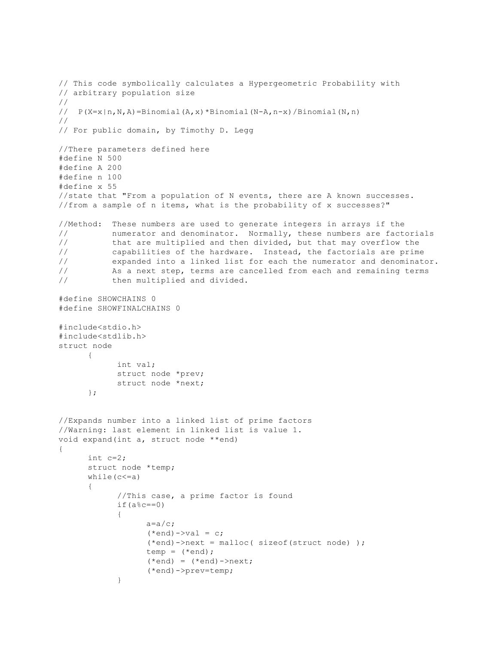```
// This code symbolically calculates a Hypergeometric Probability with
// arbitrary population size
//
// P(X=x|n,N,A)=Binomial(A,x)*Binomial(N-A,n-x)/Binomial(N,n)
//
// For public domain, by Timothy D. Legg
//There parameters defined here 
#define N 500
#define A 200
#define n 100
#define x 55
//state that "From a population of N events, there are A known successes.
//from a sample of n items, what is the probability of x successes?"
//Method: These numbers are used to generate integers in arrays if the
// numerator and denominator. Normally, these numbers are factorials
// that are multiplied and then divided, but that may overflow the
// capabilities of the hardware. Instead, the factorials are prime
// expanded into a linked list for each the numerator and denominator.
// As a next step, terms are cancelled from each and remaining terms
// then multiplied and divided.
#define SHOWCHAINS 0
#define SHOWFINALCHAINS 0
#include<stdio.h>
#include<stdlib.h>
struct node
      {
           int val;
           struct node *prev;
           struct node *next;
      };
//Expands number into a linked list of prime factors
//Warning: last element in linked list is value 1.
void expand(int a, struct node **end)
{
      int c=2;
      struct node *temp;
      while (c \le a){
            //This case, a prime factor is found
           if(ac==0)
            {
                 a=a/c;
                  (*end) ->val = c;
                  (*end)->next = malloc( sizeof(struct node) );
                 temp = (*end);
                  (*end) = (*end)->next;
                  (*end)->prev=temp;
            }
```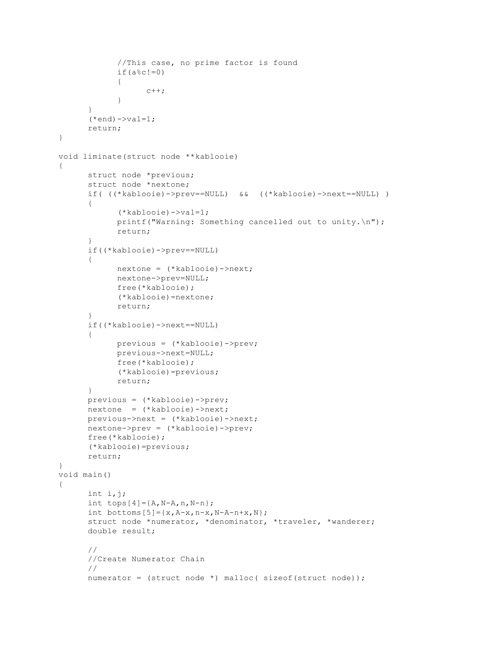```
//This case, no prime factor is found
            if(ac!=0)
            {
                  c++;}
      }
      (*end) ->val=1;
      return;
}
void liminate(struct node **kablooie)
{
      struct node *previous;
      struct node *nextone;
      if( ((*kablooie)->prev==NULL) && ((*kablooie)->next==NULL) )
      {
            (*kablooie)->val=1;
            printf("Warning: Something cancelled out to unity.\n");
            return;
      }
      if((*kablooie)->prev==NULL)
      {
            nextone = (*kablooie)->next;
            nextone->prev=NULL;
            free(*kablooie);
            (*kablooie)=nextone;
            return;
      }
      if((*kablooie)->next==NULL)
      {
            previous = (*kablooie)->prev;
            previous->next=NULL;
            free(*kablooie);
            (*kablooie)=previous;
            return;
      }
      previous = (*kablooie)->prev;
      nextone = (*kablooie)->next;
      previous->next = (*kablooie)->next;
      nextone->prev = (*kablooie)->prev;
      free(*kablooie);
      (*kablooie)=previous;
      return;
}
void main()
{
      int i,j;
      int tops[4] = \{A, N-A, n, N-n\};
      int bottoms [5]=\{x,A-x,n-x,N-A-n+x,N\};
      struct node *numerator, *denominator, *traveler, *wanderer;
      double result;
      //
      //Create Numerator Chain
      //
      numerator = (struct node *) malloc( sizeof(struct node));
```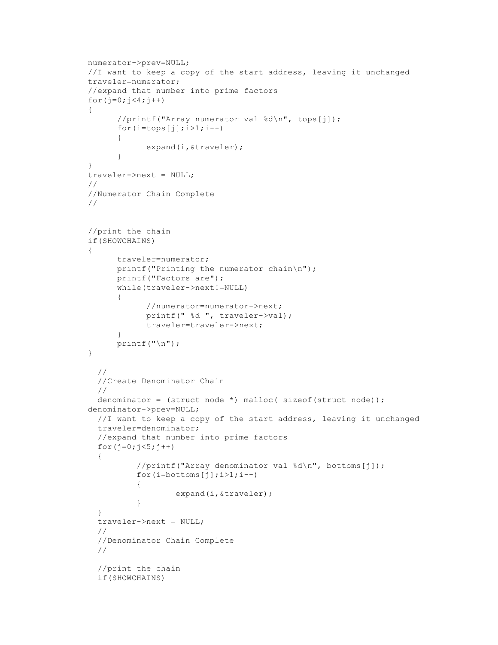```
numerator->prev=NULL;
     //I want to keep a copy of the start address, leaving it unchanged
     traveler=numerator;
     //expand that number into prime factors
     for(j=0; j<4; j++){
            //printf("Array numerator val %d\n", tops[j]);
           for(i = tops[j]; i > 1; i --){
                  expand(i,&traveler);
            }
     }
     traveler->next = NULL;
     //
     //Numerator Chain Complete
     //
     //print the chain
     if(SHOWCHAINS)
     {
           traveler=numerator;
           printf("Printing the numerator chain\n");
           printf("Factors are");
           while(traveler->next!=NULL)
            {
                  //numerator=numerator->next;
                 printf(" %d ", traveler->val);
                  traveler=traveler->next;
            }
           printf(''\n'');
     }
        //
        //Create Denominator Chain
        //
        denominator = (struct node *) malloc( sizeof(struct node));
     denominator->prev=NULL;
        //I want to keep a copy of the start address, leaving it unchanged
        traveler=denominator;
        //expand that number into prime factors
       for(j=0; j<5; j++) {
                //printf("Array denominator val %d\n", bottoms[j]);
               for(i=bottoms[j];i>1;i--)
 {
                         expand(i,&traveler);
 }
 }
        traveler->next = NULL;
        //
        //Denominator Chain Complete
        //
        //print the chain
        if(SHOWCHAINS)
```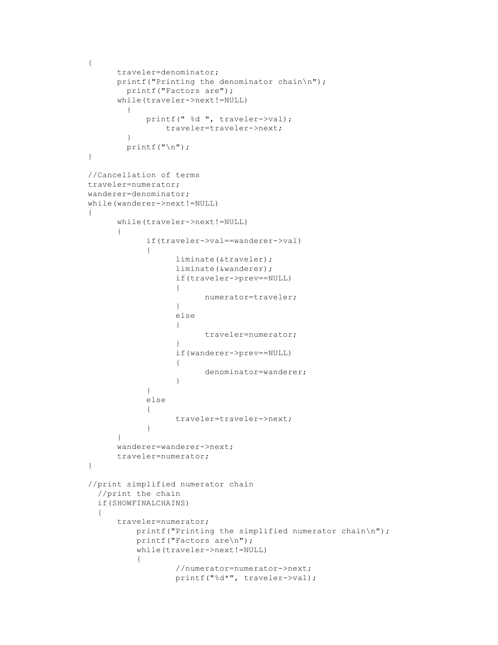```
{
           traveler=denominator;
           printf("Printing the denominator chain\n");
              printf("Factors are");
            while(traveler->next!=NULL)
              {
                   printf(" %d ", traveler->val);
                      traveler=traveler->next;
       }
             printf("\n");
     }
     //Cancellation of terms
     traveler=numerator;
     wanderer=denominator;
     while(wanderer->next!=NULL)
      {
           while(traveler->next!=NULL)
            {
                  if(traveler->val==wanderer->val)
                  {
                        liminate(&traveler);
                        liminate(&wanderer);
                        if(traveler->prev==NULL)
                        {
                              numerator=traveler;
                        }
                        else
                        {
                              traveler=numerator;
                        }
                        if(wanderer->prev==NULL)
                        {
                              denominator=wanderer;
                        }
                  }
                  else
                  {
                        traveler=traveler->next;
                  }
            }
           wanderer=wanderer->next;
           traveler=numerator;
     }
      //print simplified numerator chain
         //print the chain
        if(SHOWFINALCHAINS)
 {
            traveler=numerator;
                 printf("Printing the simplified numerator chain\n");
                 printf("Factors are\n");
                 while(traveler->next!=NULL)
 {
                         //numerator=numerator->next;
                         printf("%d*", traveler->val);
```